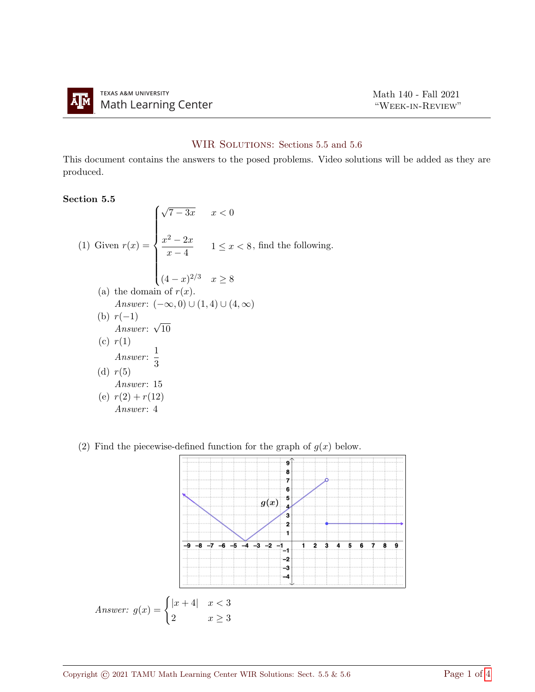

## WIR SOLUTIONS: Sections 5.5 and 5.6

This document contains the answers to the posed problems. Video solutions will be added as they are produced.

## Section 5.5

(1) Given 
$$
r(x) = \begin{cases} \sqrt{7 - 3x} & x < 0 \\ \frac{x^2 - 2x}{x - 4} & 1 \le x < 8, \text{ find the following.} \\ (4 - x)^{2/3} & x \ge 8 \end{cases}
$$
\n(a) the domain of  $r(x)$ .  
\nAnswer:  $(-\infty, 0) \cup (1, 4) \cup (4, \infty)$   
\n(b)  $r(-1)$   
\nAnswer:  $\sqrt{10}$   
\n(c)  $r(1)$   
\nAnswer:  $\frac{1}{3}$   
\n(d)  $r(5)$   
\nAnswer: 15  
\n(e)  $r(2) + r(12)$   
\nAnswer: 4

(2) Find the piecewise-defined function for the graph of  $g(x)$  below.

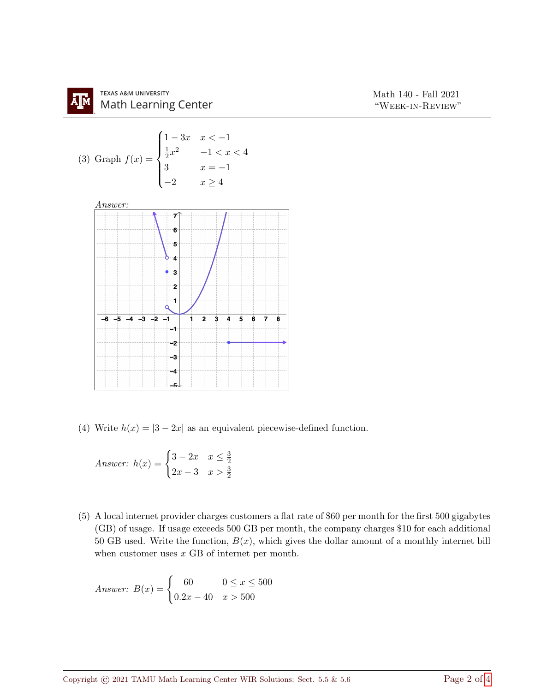

(4) Write  $h(x) = |3 - 2x|$  as an equivalent piecewise-defined function.

Answer: 
$$
h(x) = \begin{cases} 3 - 2x & x \leq \frac{3}{2} \\ 2x - 3 & x > \frac{3}{2} \end{cases}
$$

(5) A local internet provider charges customers a flat rate of \$60 per month for the first 500 gigabytes (GB) of usage. If usage exceeds 500 GB per month, the company charges \$10 for each additional 50 GB used. Write the function,  $B(x)$ , which gives the dollar amount of a monthly internet bill when customer uses x GB of internet per month.

Answer: 
$$
B(x) = \begin{cases} 60 & 0 \le x \le 500 \\ 0.2x - 40 & x > 500 \end{cases}
$$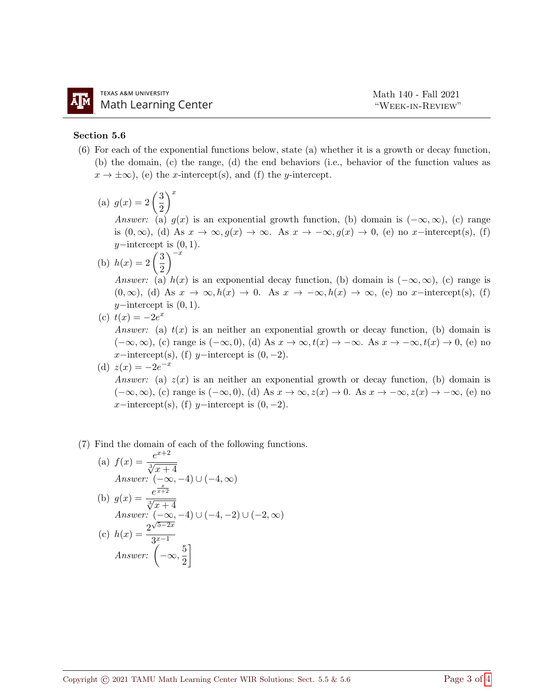## Section 5.6

- (6) For each of the exponential functions below, state (a) whether it is a growth or decay function, (b) the domain, (c) the range, (d) the end behaviors (i.e., behavior of the function values as  $x \to \pm \infty$ , (e) the x-intercept(s), and (f) the y-intercept.
	- (a)  $g(x) = 2\left(\frac{3}{2}\right)$ 2  $\setminus^x$

Answer: (a)  $g(x)$  is an exponential growth function, (b) domain is  $(-\infty, \infty)$ , (c) range is  $(0, \infty)$ , (d) As  $x \to \infty$ ,  $g(x) \to \infty$ . As  $x \to -\infty$ ,  $g(x) \to 0$ , (e) no x-intercept(s), (f)  $y$ −intercept is  $(0, 1)$ .

(b)  $h(x) = 2\left(\frac{3}{2}\right)$ 2  $\lambda^{-x}$ 

Answer: (a)  $h(x)$  is an exponential decay function, (b) domain is  $(-\infty, \infty)$ , (c) range is  $(0, \infty)$ , (d) As  $x \to \infty$ ,  $h(x) \to 0$ . As  $x \to -\infty$ ,  $h(x) \to \infty$ , (e) no x-intercept(s), (f)  $y$ −intercept is  $(0, 1)$ .

(c)  $t(x) = -2e^x$ 

Answer: (a)  $t(x)$  is an neither an exponential growth or decay function, (b) domain is  $(-\infty, \infty)$ , (c) range is  $(-\infty, 0)$ , (d) As  $x \to \infty$ ,  $t(x) \to -\infty$ . As  $x \to -\infty$ ,  $t(x) \to 0$ , (e) no x−intercept(s), (f) y−intercept is  $(0, -2)$ .

(d)  $z(x) = -2e^{-x}$ Answer: (a)  $z(x)$  is an neither an exponential growth or decay function, (b) domain is  $(-\infty, \infty)$ , (c) range is  $(-\infty, 0)$ , (d) As  $x \to \infty$ ,  $z(x) \to 0$ . As  $x \to -\infty$ ,  $z(x) \to -\infty$ , (e) no x−intercept(s), (f) y−intercept is  $(0, -2)$ .

## (7) Find the domain of each of the following functions.

 $r+2$ 

(a) 
$$
f(x) = \frac{e^{x+2}}{\sqrt[3]{x+4}}
$$
  
\nAnswer:  $(-\infty, -4) \cup (-4, \infty)$   
\n(b)  $g(x) = \frac{e^{\frac{x}{x+2}}}{\sqrt[3]{x+4}}$   
\nAnswer:  $(-\infty, -4) \cup (-4, -2) \cup (-2, \infty)$   
\n(c)  $h(x) = \frac{2^{\sqrt{5-2x}}}{3^{x-1}}$   
\nAnswer:  $\left(-\infty, \frac{5}{2}\right]$